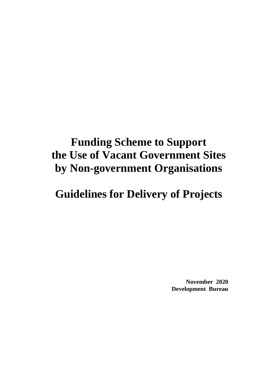# **Funding Scheme to Support the Use of Vacant Government Sites by Non-government Organisations**

# **Guidelines for Delivery of Projects**

**November 2020 Development Bureau**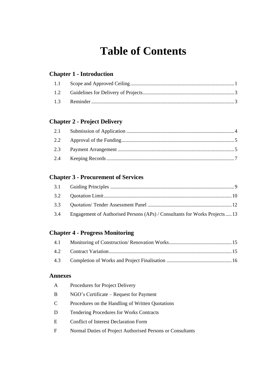# **Table of Contents**

# **Chapter 1 - Introduction**

# **Chapter 2 - Project Delivery**

# **Chapter 3 - Procurement of Services**

| 3.4 Engagement of Authorised Persons (APs) / Consultants for Works Projects13 |  |
|-------------------------------------------------------------------------------|--|

# **Chapter 4 - Progress Monitoring**

| 4.1 |  |
|-----|--|
|     |  |
|     |  |

### **Annexes**

| A  | Procedures for Project Delivery                            |
|----|------------------------------------------------------------|
| В  | NGO's Certificate – Request for Payment                    |
| C. | Procedures on the Handling of Written Quotations           |
| D  | <b>Tendering Procedures for Works Contracts</b>            |
| E. | <b>Conflict of Interest Declaration Form</b>               |
| F  | Normal Duties of Project Authorised Persons or Consultants |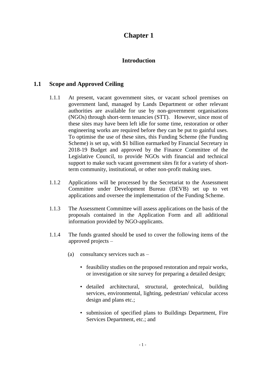# **Chapter 1**

## **Introduction**

# **1.1 Scope and Approved Ceiling**

- <span id="page-2-0"></span>1.1.1 At present, vacant government sites, or vacant school premises on government land, managed by Lands Department or other relevant authorities are available for use by non-government organisations (NGOs) through short-term tenancies (STT). However, since most of these sites may have been left idle for some time, restoration or other engineering works are required before they can be put to gainful uses. To optimise the use of these sites, this Funding Scheme (the Funding Scheme) is set up, with \$1 billion earmarked by Financial Secretary in 2018-19 Budget and approved by the Finance Committee of the Legislative Council, to provide NGOs with financial and technical support to make such vacant government sites fit for a variety of shortterm community, institutional, or other non-profit making uses.
- 1.1.2 Applications will be processed by the Secretariat to the Assessment Committee under Development Bureau (DEVB) set up to vet applications and oversee the implementation of the Funding Scheme.
- 1.1.3 The Assessment Committee will assess applications on the basis of the proposals contained in the Application Form and all additional information provided by NGO-applicants.
- 1.1.4 The funds granted should be used to cover the following items of the approved projects –
	- (a) consultancy services such as
		- feasibility studies on the proposed restoration and repair works, or investigation or site survey for preparing a detailed design;
		- detailed architectural, structural, geotechnical, building services, environmental, lighting, pedestrian/ vehicular access design and plans etc.;
		- submission of specified plans to Buildings Department, Fire Services Department, etc.; and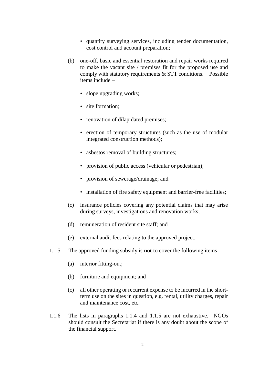- quantity surveying services, including tender documentation, cost control and account preparation;
- (b) one-off, basic and essential restoration and repair works required to make the vacant site / premises fit for the proposed use and comply with statutory requirements & STT conditions. Possible items include –
	- slope upgrading works;
	- site formation;
	- renovation of dilapidated premises;
	- erection of temporary structures (such as the use of modular integrated construction methods);
	- asbestos removal of building structures;
	- provision of public access (vehicular or pedestrian);
	- provision of sewerage/drainage; and
	- installation of fire safety equipment and barrier-free facilities;
- (c) insurance policies covering any potential claims that may arise during surveys, investigations and renovation works;
- (d) remuneration of resident site staff; and
- (e) external audit fees relating to the approved project.
- 1.1.5 The approved funding subsidy is **not** to cover the following items
	- (a) interior fitting-out;
	- (b) furniture and equipment; and
	- (c) all other operating or recurrent expense to be incurred in the shortterm use on the sites in question, e.g. rental, utility charges, repair and maintenance cost, etc.
- 1.1.6 The lists in paragraphs 1.1.4 and 1.1.5 are not exhaustive. NGOs should consult the Secretariat if there is any doubt about the scope of the financial support.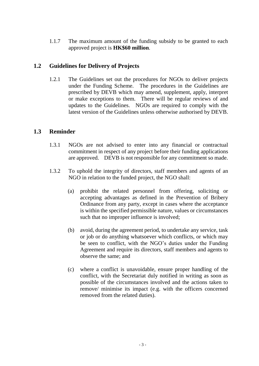1.1.7 The maximum amount of the funding subsidy to be granted to each approved project is **HK\$60 million**.

## **1.2 Guidelines for Delivery of Projects**

<span id="page-4-0"></span>1.2.1 The Guidelines set out the procedures for NGOs to deliver projects under the Funding Scheme. The procedures in the Guidelines are prescribed by DEVB which may amend, supplement, apply, interpret or make exceptions to them. There will be regular reviews of and updates to the Guidelines. NGOs are required to comply with the latest version of the Guidelines unless otherwise authorised by DEVB.

# **1.3 Reminder**

- <span id="page-4-1"></span>1.3.1 NGOs are not advised to enter into any financial or contractual commitment in respect of any project before their funding applications are approved. DEVB is not responsible for any commitment so made.
- 1.3.2 To uphold the integrity of directors, staff members and agents of an NGO in relation to the funded project, the NGO shall:
	- (a) prohibit the related personnel from offering, soliciting or accepting advantages as defined in the Prevention of Bribery Ordinance from any party, except in cases where the acceptance is within the specified permissible nature, values or circumstances such that no improper influence is involved;
	- (b) avoid, during the agreement period, to undertake any service, task or job or do anything whatsoever which conflicts, or which may be seen to conflict, with the NGO's duties under the Funding Agreement and require its directors, staff members and agents to observe the same; and
	- (c) where a conflict is unavoidable, ensure proper handling of the conflict, with the Secretariat duly notified in writing as soon as possible of the circumstances involved and the actions taken to remove/ minimise its impact (e.g. with the officers concerned removed from the related duties).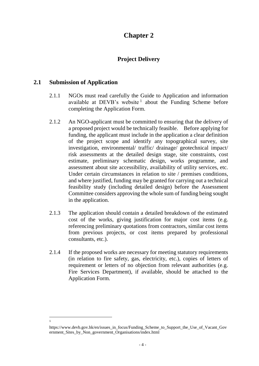# **Chapter 2**

# **Project Delivery**

### **2.1 Submission of Application**

 $\overline{\phantom{a}}$ 1

- <span id="page-5-0"></span>2.1.1 NGOs must read carefully the Guide to Application and information available at DEVB's website<sup>1</sup> about the Funding Scheme before completing the Application Form.
- 2.1.2 An NGO-applicant must be committed to ensuring that the delivery of a proposed project would be technically feasible. Before applying for funding, the applicant must include in the application a clear definition of the project scope and identify any topographical survey, site investigation, environmental/ traffic/ drainage/ geotechnical impact/ risk assessments at the detailed design stage, site constraints, cost estimate, preliminary schematic design, works programme, and assessment about site accessibility, availability of utility services, etc. Under certain circumstances in relation to site / premises conditions, and where justified, funding may be granted for carrying out a technical feasibility study (including detailed design) before the Assessment Committee considers approving the whole sum of funding being sought in the application.
- 2.1.3 The application should contain a detailed breakdown of the estimated cost of the works, giving justification for major cost items (e.g. referencing preliminary quotations from contractors, similar cost items from previous projects, or cost items prepared by professional consultants, etc.).
- 2.1.4 If the proposed works are necessary for meeting statutory requirements (in relation to fire safety, gas, electricity, etc.), copies of letters of requirement or letters of no objection from relevant authorities (e.g. Fire Services Department), if available, should be attached to the Application Form.

https://www.devb.gov.hk/en/issues\_in\_focus/Funding\_Scheme\_to\_Support\_the\_Use\_of\_Vacant\_Gov ernment\_Sites\_by\_Non\_government\_Organisations/index.html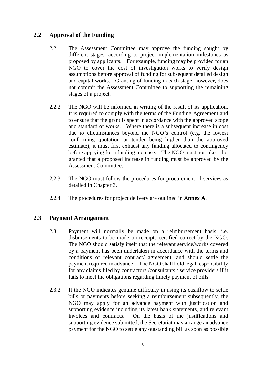# **2.2 Approval of the Funding**

- <span id="page-6-0"></span>2.2.1 The Assessment Committee may approve the funding sought by different stages, according to project implementation milestones as proposed by applicants. For example, funding may be provided for an NGO to cover the cost of investigation works to verify design assumptions before approval of funding for subsequent detailed design and capital works. Granting of funding in each stage, however, does not commit the Assessment Committee to supporting the remaining stages of a project.
- 2.2.2 The NGO will be informed in writing of the result of its application. It is required to comply with the terms of the Funding Agreement and to ensure that the grant is spent in accordance with the approved scope and standard of works. Where there is a subsequent increase in cost due to circumstances beyond the NGO's control (e.g. the lowest conforming quotation or tender being higher than the approved estimate), it must first exhaust any funding allocated to contingency before applying for a funding increase. The NGO must not take it for granted that a proposed increase in funding must be approved by the Assessment Committee.
- 2.2.3 The NGO must follow the procedures for procurement of services as detailed in Chapter 3.
- 2.2.4 The procedures for project delivery are outlined in **Annex A**.

## **2.3 Payment Arrangement**

- <span id="page-6-1"></span>2.3.1 Payment will normally be made on a reimbursement basis, i.e. disbursements to be made on receipts certified correct by the NGO. The NGO should satisfy itself that the relevant service/works covered by a payment has been undertaken in accordance with the terms and conditions of relevant contract/ agreement, and should settle the payment required in advance. The NGO shall hold legal responsibility for any claims filed by contractors /consultants / service providers if it fails to meet the obligations regarding timely payment of bills.
- 2.3.2 If the NGO indicates genuine difficulty in using its cashflow to settle bills or payments before seeking a reimbursement subsequently, the NGO may apply for an advance payment with justification and supporting evidence including its latest bank statements, and relevant invoices and contracts. On the basis of the justifications and supporting evidence submitted, the Secretariat may arrange an advance payment for the NGO to settle any outstanding bill as soon as possible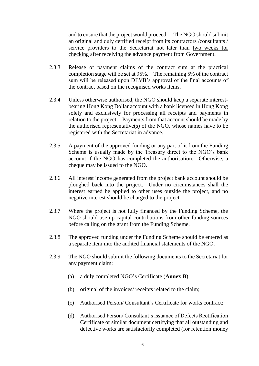and to ensure that the project would proceed. The NGO should submit an original and duly certified receipt from its contractors /consultants / service providers to the Secretariat not later than two weeks for checking after receiving the advance payment from Government.

- 2.3.3 Release of payment claims of the contract sum at the practical completion stage will be set at 95%. The remaining 5% of the contract sum will be released upon DEVB's approval of the final accounts of the contract based on the recognised works items.
- 2.3.4 Unless otherwise authorised, the NGO should keep a separate interestbearing Hong Kong Dollar account with a bank licensed in Hong Kong solely and exclusively for processing all receipts and payments in relation to the project. Payments from that account should be made by the authorised representative(s) of the NGO, whose names have to be registered with the Secretariat in advance.
- 2.3.5 A payment of the approved funding or any part of it from the Funding Scheme is usually made by the Treasury direct to the NGO's bank account if the NGO has completed the authorisation. Otherwise, a cheque may be issued to the NGO.
- 2.3.6 All interest income generated from the project bank account should be ploughed back into the project. Under no circumstances shall the interest earned be applied to other uses outside the project, and no negative interest should be charged to the project.
- 2.3.7 Where the project is not fully financed by the Funding Scheme, the NGO should use up capital contributions from other funding sources before calling on the grant from the Funding Scheme.
- 2.3.8 The approved funding under the Funding Scheme should be entered as a separate item into the audited financial statements of the NGO.
- 2.3.9 The NGO should submit the following documents to the Secretariat for any payment claim:
	- (a) a duly completed NGO's Certificate (**Annex B**);
	- (b) original of the invoices/ receipts related to the claim;
	- (c) Authorised Person/ Consultant's Certificate for works contract;
	- (d) Authorised Person/ Consultant's issuance of Defects Rectification Certificate or similar document certifying that all outstanding and defective works are satisfactorily completed (for retention money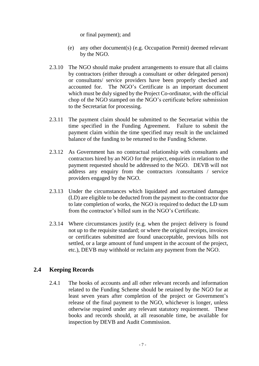or final payment); and

- (e) any other document(s) (e.g. Occupation Permit) deemed relevant by the NGO.
- 2.3.10 The NGO should make prudent arrangements to ensure that all claims by contractors (either through a consultant or other delegated person) or consultants/ service providers have been properly checked and accounted for. The NGO's Certificate is an important document which must be duly signed by the Project Co-ordinator, with the official chop of the NGO stamped on the NGO's certificate before submission to the Secretariat for processing.
- 2.3.11 The payment claim should be submitted to the Secretariat within the time specified in the Funding Agreement. Failure to submit the payment claim within the time specified may result in the unclaimed balance of the funding to be returned to the Funding Scheme.
- 2.3.12 As Government has no contractual relationship with consultants and contractors hired by an NGO for the project, enquiries in relation to the payment requested should be addressed to the NGO. DEVB will not address any enquiry from the contractors /consultants / service providers engaged by the NGO.
- 2.3.13 Under the circumstances which liquidated and ascertained damages (LD) are eligible to be deducted from the payment to the contractor due to late completion of works, the NGO is required to deduct the LD sum from the contractor's billed sum in the NGO's Certificate.
- 2.3.14 Where circumstances justify (e.g. when the project delivery is found not up to the requisite standard; or where the original receipts, invoices or certificates submitted are found unacceptable, previous bills not settled, or a large amount of fund unspent in the account of the project, etc.), DEVB may withhold or reclaim any payment from the NGO.

# **2.4 Keeping Records**

<span id="page-8-0"></span>2.4.1 The books of accounts and all other relevant records and information related to the Funding Scheme should be retained by the NGO for at least seven years after completion of the project or Government's release of the final payment to the NGO, whichever is longer, unless otherwise required under any relevant statutory requirement. These books and records should, at all reasonable time, be available for inspection by DEVB and Audit Commission.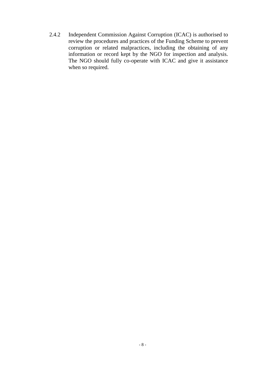2.4.2 Independent Commission Against Corruption (ICAC) is authorised to review the procedures and practices of the Funding Scheme to prevent corruption or related malpractices, including the obtaining of any information or record kept by the NGO for inspection and analysis. The NGO should fully co-operate with ICAC and give it assistance when so required.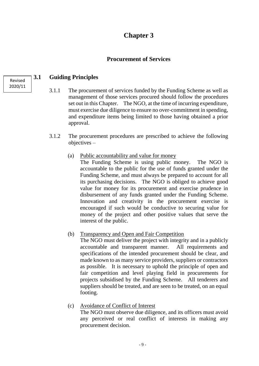# **Chapter 3**

# **Procurement of Services**

# **3.1 Guiding Principles**

- <span id="page-10-0"></span>3.1.1 The procurement of services funded by the Funding Scheme as well as management of those services procured should follow the procedures set out in this Chapter. The NGO, at the time of incurring expenditure, must exercise due diligence to ensure no over-commitment in spending, and expenditure items being limited to those having obtained a prior approval.
- 3.1.2 The procurement procedures are prescribed to achieve the following objectives –
	- (a) Public accountability and value for money

The Funding Scheme is using public money. The NGO is accountable to the public for the use of funds granted under the Funding Scheme, and must always be prepared to account for all its purchasing decisions. The NGO is obliged to achieve good value for money for its procurement and exercise prudence in disbursement of any funds granted under the Funding Scheme. Innovation and creativity in the procurement exercise is encouraged if such would be conductive to securing value for money of the project and other positive values that serve the interest of the public.

(b) Transparency and Open and Fair Competition

The NGO must deliver the project with integrity and in a publicly accountable and transparent manner. All requirements and specifications of the intended procurement should be clear, and made known to as many service providers, suppliers or contractors as possible. It is necessary to uphold the principle of open and fair competition and level playing field in procurements for projects subsidised by the Funding Scheme. All tenderers and suppliers should be treated, and are seen to be treated, on an equal footing.

(c) Avoidance of Conflict of Interest The NGO must observe due diligence, and its officers must avoid any perceived or real conflict of interests in making any procurement decision.

Revised 2020/11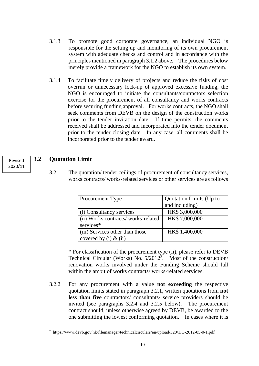- 3.1.3 To promote good corporate governance, an individual NGO is responsible for the setting up and monitoring of its own procurement system with adequate checks and control and in accordance with the principles mentioned in paragraph 3.1.2 above. The procedures below merely provide a framework for the NGO to establish its own system.
- 3.1.4 To facilitate timely delivery of projects and reduce the risks of cost overrun or unnecessary lock-up of approved excessive funding, the NGO is encouraged to initiate the consultants/contractors selection exercise for the procurement of all consultancy and works contracts before securing funding approval. For works contracts, the NGO shall seek comments from DEVB on the design of the construction works prior to the tender invitation date. If time permits, the comments received shall be addressed and incorporated into the tender document prior to the tender closing date. In any case, all comments shall be incorporated prior to the tender award.

# **3.2 Quotation Limit**

 $\overline{\phantom{a}}$ 

–

<span id="page-11-0"></span>3.2.1 The quotation/ tender ceilings of procurement of consultancy services, works contracts/ works-related services or other services are as follows

| <b>Procurement Type</b>            | Quotation Limits (Up to |
|------------------------------------|-------------------------|
|                                    | and including)          |
| (i) Consultancy services           | HK\$ 3,000,000          |
| (ii) Works contracts/works-related | HK\$7,000,000           |
| services*                          |                         |
| (iii) Services other than those    | HK\$ 1,400,000          |
| covered by (i) $\&$ (ii)           |                         |

\* For classification of the procurement type (ii), please refer to DEVB Technical Circular (Works) No. 5/2012<sup>2</sup> . Most of the construction/ renovation works involved under the Funding Scheme should fall within the ambit of works contracts/ works-related services.

3.2.2 For any procurement with a value **not exceeding** the respective quotation limits stated in paragraph 3.2.1, written quotations from **not less than five** contractors/ consultants/ service providers should be invited (see paragraphs 3.2.4 and 3.2.5 below). The procurement contract should, unless otherwise agreed by DEVB, be awarded to the one submitting the lowest conforming quotation. In cases where it is

Revised 2020/11

<sup>2</sup> https://www.devb.gov.hk/filemanager/technicalcirculars/en/upload/320/1/C-2012-05-0-1.pdf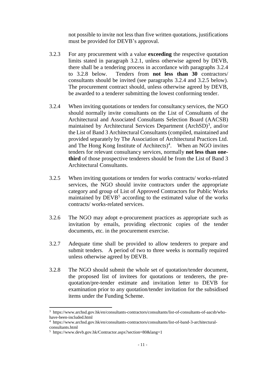not possible to invite not less than five written quotations, justifications must be provided for DEVB's approval.

- 3.2.3 For any procurement with a value **exceeding** the respective quotation limits stated in paragraph 3.2.1, unless otherwise agreed by DEVB, there shall be a tendering process in accordance with paragraphs 3.2.4 to 3.2.8 below. Tenders from **not less than 30** contractors/ consultants should be invited (see paragraphs 3.2.4 and 3.2.5 below). The procurement contract should, unless otherwise agreed by DEVB, be awarded to a tenderer submitting the lowest conforming tender.
- 3.2.4 When inviting quotations or tenders for consultancy services, the NGO should normally invite consultants on the List of Consultants of the Architectural and Associated Consultants Selection Board (AACSB) maintained by Architectural Services Department (ArchSD)<sup>3</sup>, and/or the List of Band 3 Architectural Consultants (compiled, maintained and provided separately by The Association of Architectural Practices Ltd. and The Hong Kong Institute of Architects) 4 . When an NGO invites tenders for relevant consultancy services, normally **not less than onethird** of those prospective tenderers should be from the List of Band 3 Architectural Consultants.
- 3.2.5 When inviting quotations or tenders for works contracts/ works-related services, the NGO should invite contractors under the appropriate category and group of List of Approved Contractors for Public Works maintained by DEVB<sup>5</sup> according to the estimated value of the works contracts/ works-related services.
- 3.2.6 The NGO may adopt e-procurement practices as appropriate such as invitation by emails, providing electronic copies of the tender documents, etc. in the procurement exercise.
- 3.2.7 Adequate time shall be provided to allow tenderers to prepare and submit tenders. A period of two to three weeks is normally required unless otherwise agreed by DEVB.
- 3.2.8 The NGO should submit the whole set of quotation/tender document, the proposed list of invitees for quotations or tenderers, the prequotation/pre-tender estimate and invitation letter to DEVB for examination prior to any quotation/tender invitation for the subsidised items under the Funding Scheme.

 $\overline{a}$ 

<sup>3</sup> https://www.archsd.gov.hk/en/consultants-contractors/consultants/list-of-consultants-of-aacsb/whohave-been-included.html

<sup>4</sup> https://www.archsd.gov.hk/en/consultants-contractors/consultants/list-of-band-3-architecturalconsultants.html

<sup>5</sup> https://www.devb.gov.hk/Contractor.aspx?section=80&lang=1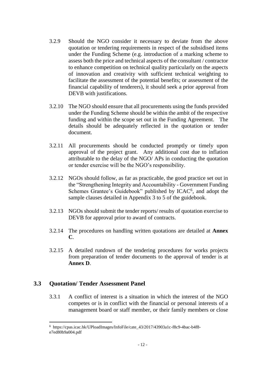- 3.2.9 Should the NGO consider it necessary to deviate from the above quotation or tendering requirements in respect of the subsidised items under the Funding Scheme (e.g. introduction of a marking scheme to assess both the price and technical aspects of the consultant / contractor to enhance competition on technical quality particularly on the aspects of innovation and creativity with sufficient technical weighting to facilitate the assessment of the potential benefits; or assessment of the financial capability of tenderers), it should seek a prior approval from DEVB with justifications.
- 3.2.10 The NGO should ensure that all procurements using the funds provided under the Funding Scheme should be within the ambit of the respective funding and within the scope set out in the Funding Agreement. The details should be adequately reflected in the quotation or tender document.
- 3.2.11 All procurements should be conducted promptly or timely upon approval of the project grant. Any additional cost due to inflation attributable to the delay of the NGO/ APs in conducting the quotation or tender exercise will be the NGO's responsibility.
- 3.2.12 NGOs should follow, as far as practicable, the good practice set out in the "Strengthening Integrity and Accountability - Government Funding Schemes Grantee's Guidebook" published by ICAC<sup>6</sup>, and adopt the sample clauses detailed in Appendix 3 to 5 of the guidebook.
- 3.2.13 NGOs should submit the tender reports/ results of quotation exercise to DEVB for approval prior to award of contracts.
- 3.2.14 The procedures on handling written quotations are detailed at **Annex C**.
- 3.2.15 A detailed rundown of the tendering procedures for works projects from preparation of tender documents to the approval of tender is at **Annex D**.

## **3.3 Quotation/ Tender Assessment Panel**

<span id="page-13-0"></span>3.3.1 A conflict of interest is a situation in which the interest of the NGO competes or is in conflict with the financial or personal interests of a management board or staff member, or their family members or close

 $\overline{a}$ <sup>6</sup> [https://cpas.icac.hk/UPloadImages/InfoFile/cate\\_43/2017/43903a1c-f8c9-4bac-b4f8](https://cpas.icac.hk/UPloadImages/InfoFile/cate_43/2017/43903a1c-f8c9-4bac-b4f8-e7ed80b9a004.pdf) [e7ed80b9a004.pdf](https://cpas.icac.hk/UPloadImages/InfoFile/cate_43/2017/43903a1c-f8c9-4bac-b4f8-e7ed80b9a004.pdf)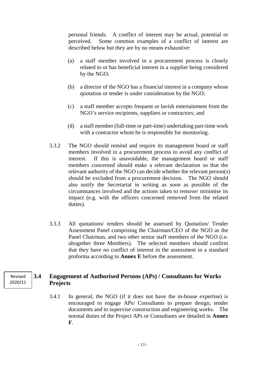personal friends. A conflict of interest may be actual, potential or perceived. Some common examples of a conflict of interest are described below but they are by no means exhaustive:

- (a) a staff member involved in a procurement process is closely related to or has beneficial interest in a supplier being considered by the NGO;
- (b) a director of the NGO has a financial interest in a company whose quotation or tender is under consideration by the NGO;
- (c) a staff member accepts frequent or lavish entertainment from the NGO's service recipients, suppliers or contractors; and
- (d) a staff member (full-time or part-time) undertaking part-time work with a contractor whom he is responsible for monitoring.
- 3.3.2 The NGO should remind and require its management board or staff members involved in a procurement process to avoid any conflict of interest. If this is unavoidable, the management board or staff members concerned should make a relevant declaration so that the relevant authority of the NGO can decide whether the relevant person(s) should be excluded from a procurement decision. The NGO should also notify the Secretariat in writing as soon as possible of the circumstances involved and the actions taken to remove/ minimise its impact (e.g. with the officers concerned removed from the related duties).
- 3.3.3 All quotations/ tenders should be assessed by Quotation/ Tender Assessment Panel comprising the Chairman/CEO of the NGO as the Panel Chairman, and two other senior staff members of the NGO (i.e. altogether three Members). The selected members should confirm that they have no conflict of interest in the assessment in a standard proforma according to **Annex E** before the assessment.

# **3.4 Engagement of Authorised Persons (APs) / Consultants for Works Projects**

<span id="page-14-0"></span>3.4.1 In general, the NGO (if it does not have the in-house expertise) is encouraged to engage APs/ Consultants to prepare design, tender documents and to supervise construction and engineering works. The normal duties of the Project APs or Consultants are detailed in **Annex F**.

Revised 2020/11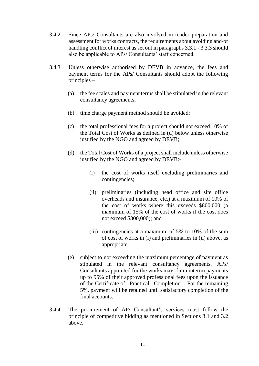- 3.4.2 Since APs/ Consultants are also involved in tender preparation and assessment for works contracts, the requirements about avoiding and/or handling conflict of interest as set out in paragraphs 3.3.1 - 3.3.3 should also be applicable to APs/ Consultants' staff concerned.
- 3.4.3 Unless otherwise authorised by DEVB in advance, the fees and payment terms for the APs/ Consultants should adopt the following principles –
	- (a) the fee scales and payment terms shall be stipulated in the relevant consultancy agreements;
	- (b) time charge payment method should be avoided;
	- (c) the total professional fees for a project should not exceed 10% of the Total Cost of Works as defined in (d) below unless otherwise justified by the NGO and agreed by DEVB;
	- (d) the Total Cost of Works of a project shall include unless otherwise justified by the NGO and agreed by DEVB:-
		- (i) the cost of works itself excluding preliminaries and contingencies;
		- (ii) preliminaries (including head office and site office overheads and insurance, etc.) at a maximum of 10% of the cost of works where this exceeds \$800,000 (a maximum of 15% of the cost of works if the cost does not exceed \$800,000); and
		- (iii) contingencies at a maximum of 5% to 10% of the sum of cost of works in (i) and preliminaries in (ii) above, as appropriate.
	- (e) subject to not exceeding the maximum percentage of payment as stipulated in the relevant consultancy agreements, APs/ Consultants appointed for the works may claim interim payments up to 95% of their approved professional fees upon the issuance of the Certificate of Practical Completion. For the remaining 5%, payment will be retained until satisfactory completion of the final accounts.
- 3.4.4 The procurement of AP/ Consultant's services must follow the principle of competitive bidding as mentioned in Sections 3.1 and 3.2 above.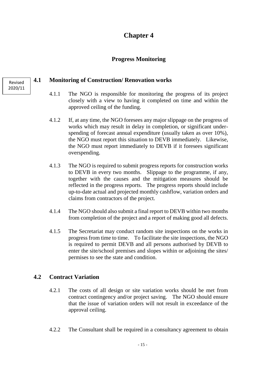# **Chapter 4**

# **Progress Monitoring**

# **4.1 Monitoring of Construction/ Renovation works**

- <span id="page-16-0"></span>4.1.1 The NGO is responsible for monitoring the progress of its project closely with a view to having it completed on time and within the approved ceiling of the funding.
- 4.1.2 If, at any time, the NGO foresees any major slippage on the progress of works which may result in delay in completion, or significant underspending of forecast annual expenditure (usually taken as over 10%), the NGO must report this situation to DEVB immediately. Likewise, the NGO must report immediately to DEVB if it foresees significant overspending.
- 4.1.3 The NGO is required to submit progress reports for construction works to DEVB in every two months. Slippage to the programme, if any, together with the causes and the mitigation measures should be reflected in the progress reports. The progress reports should include up-to-date actual and projected monthly cashflow, variation orders and claims from contractors of the project.
- 4.1.4 The NGO should also submit a final report to DEVB within two months from completion of the project and a report of making good all defects.
- 4.1.5 The Secretariat may conduct random site inspections on the works in progress from time to time. To facilitate the site inspections, the NGO is required to permit DEVB and all persons authorised by DEVB to enter the site/school premises and slopes within or adjoining the sites/ permises to see the state and condition.

# **4.2 Contract Variation**

- <span id="page-16-1"></span>4.2.1 The costs of all design or site variation works should be met from contract contingency and/or project saving. The NGO should ensure that the issue of variation orders will not result in exceedance of the approval ceiling.
- 4.2.2 The Consultant shall be required in a consultancy agreement to obtain

Revised 2020/11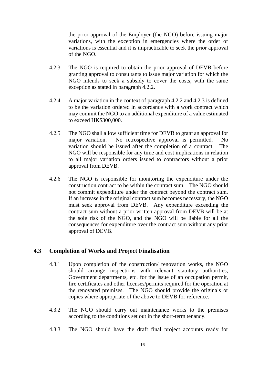the prior approval of the Employer (the NGO) before issuing major variations, with the exception in emergencies where the order of variations is essential and it is impracticable to seek the prior approval of the NGO.

- 4.2.3 The NGO is required to obtain the prior approval of DEVB before granting approval to consultants to issue major variation for which the NGO intends to seek a subsidy to cover the costs, with the same exception as stated in paragraph 4.2.2.
- 4.2.4 A major variation in the context of paragraph 4.2.2 and 4.2.3 is defined to be the variation ordered in accordance with a work contract which may commit the NGO to an additional expenditure of a value estimated to exceed HK\$300,000.
- 4.2.5 The NGO shall allow sufficient time for DEVB to grant an approval for major variation. No retrospective approval is permitted. No variation should be issued after the completion of a contract. The NGO will be responsible for any time and cost implications in relation to all major variation orders issued to contractors without a prior approval from DEVB.
- 4.2.6 The NGO is responsible for monitoring the expenditure under the construction contract to be within the contract sum. The NGO should not commit expenditure under the contract beyond the contract sum. If an increase in the original contract sum becomes necessary, the NGO must seek approval from DEVB. Any expenditure exceeding the contract sum without a prior written approval from DEVB will be at the sole risk of the NGO, and the NGO will be liable for all the consequences for expenditure over the contract sum without any prior approval of DEVB.

## **4.3 Completion of Works and Project Finalisation**

- <span id="page-17-0"></span>4.3.1 Upon completion of the construction/ renovation works, the NGO should arrange inspections with relevant statutory authorities, Government departments, etc. for the issue of an occupation permit, fire certificates and other licenses/permits required for the operation at the renovated premises. The NGO should provide the originals or copies where appropriate of the above to DEVB for reference.
- 4.3.2 The NGO should carry out maintenance works to the premises according to the conditions set out in the short-term tenancy.
- 4.3.3 The NGO should have the draft final project accounts ready for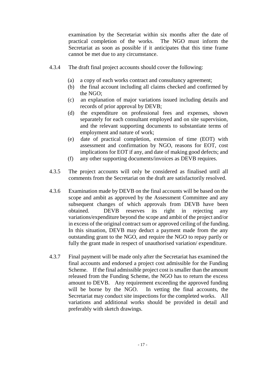examination by the Secretariat within six months after the date of practical completion of the works. The NGO must inform the Secretariat as soon as possible if it anticipates that this time frame cannot be met due to any circumstance.

- 4.3.4 The draft final project accounts should cover the following:
	- (a) a copy of each works contract and consultancy agreement;
	- (b) the final account including all claims checked and confirmed by the NGO;
	- (c) an explanation of major variations issued including details and records of prior approval by DEVB;
	- (d) the expenditure on professional fees and expenses, shown separately for each consultant employed and on site supervision, and the relevant supporting documents to substantiate terms of employment and nature of work;
	- (e) date of practical completion, extension of time (EOT) with assessment and confirmation by NGO, reasons for EOT, cost implications for EOT if any, and date of making good defects; and
	- (f) any other supporting documents/invoices as DEVB requires.
- 4.3.5 The project accounts will only be considered as finalised until all comments from the Secretariat on the draft are satisfactorily resolved.
- 4.3.6 Examination made by DEVB on the final accounts will be based on the scope and ambit as approved by the Assessment Committee and any subsequent changes of which approvals from DEVB have been obtained. DEVB reserves its right in rejecting any variations/expenditure beyond the scope and ambit of the project and/or in excess of the original contract sum or approved ceiling of the funding. In this situation, DEVB may deduct a payment made from the any outstanding grant to the NGO, and require the NGO to repay partly or fully the grant made in respect of unauthorised variation/ expenditure.
- 4.3.7 Final payment will be made only after the Secretariat has examined the final accounts and endorsed a project cost admissible for the Funding Scheme. If the final admissible project cost is smaller than the amount released from the Funding Scheme, the NGO has to return the excess amount to DEVB. Any requirement exceeding the approved funding will be borne by the NGO. In vetting the final accounts, the Secretariat may conduct site inspections for the completed works. All variations and additional works should be provided in detail and preferably with sketch drawings.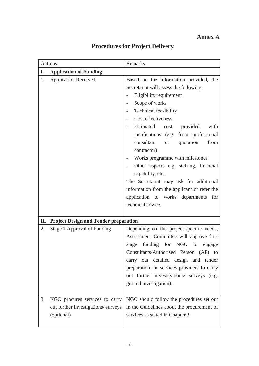# **Annex A**

|    | Actions                                                                             | Remarks                                                                                                                                                                                                                                                                                                                                                                                                                                                                                                                                                                                                              |  |  |  |  |  |  |  |  |
|----|-------------------------------------------------------------------------------------|----------------------------------------------------------------------------------------------------------------------------------------------------------------------------------------------------------------------------------------------------------------------------------------------------------------------------------------------------------------------------------------------------------------------------------------------------------------------------------------------------------------------------------------------------------------------------------------------------------------------|--|--|--|--|--|--|--|--|
| I. | <b>Application of Funding</b>                                                       |                                                                                                                                                                                                                                                                                                                                                                                                                                                                                                                                                                                                                      |  |  |  |  |  |  |  |  |
| 1. | <b>Application Received</b>                                                         | Based on the information provided, the<br>Secretariat will assess the following:<br>Eligibility requirement<br>$\overline{\phantom{0}}$<br>Scope of works<br><b>Technical feasibility</b><br>Cost effectiveness<br>Estimated cost<br>provided<br>with<br>justifications (e.g. from professional<br>consultant<br>quotation<br>from<br>or or<br>contractor)<br>Works programme with milestones<br>Other aspects e.g. staffing, financial<br>capability, etc.<br>The Secretariat may ask for additional<br>information from the applicant or refer the<br>application to works departments<br>for<br>technical advice. |  |  |  |  |  |  |  |  |
| П. | <b>Project Design and Tender preparation</b>                                        |                                                                                                                                                                                                                                                                                                                                                                                                                                                                                                                                                                                                                      |  |  |  |  |  |  |  |  |
| 2. | Stage 1 Approval of Funding                                                         | Depending on the project-specific needs,<br>Assessment Committee will approve first<br>stage funding for NGO to engage<br>Consultants/Authorised Person (AP) to<br>carry out detailed design and tender<br>preparation, or services providers to carry<br>out further investigations/ surveys (e.g.<br>ground investigation).                                                                                                                                                                                                                                                                                        |  |  |  |  |  |  |  |  |
| 3. | NGO procures services to carry<br>out further investigations/ surveys<br>(optional) | NGO should follow the procedures set out<br>in the Guidelines about the procurement of<br>services as stated in Chapter 3.                                                                                                                                                                                                                                                                                                                                                                                                                                                                                           |  |  |  |  |  |  |  |  |

# **Procedures for Project Delivery**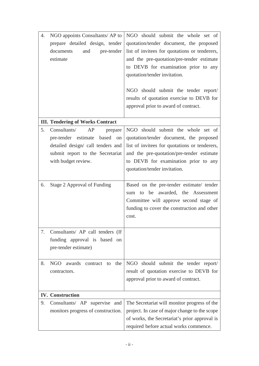| 4. | NGO appoints Consultants/ AP to<br>prepare detailed design, tender<br>pre-tender<br>documents<br>and<br>estimate                                              | NGO should submit the whole set of<br>quotation/tender document, the proposed<br>list of invitees for quotations or tenderers,<br>and the pre-quotation/pre-tender estimate<br>to DEVB for examination prior to any<br>quotation/tender invitation.<br>NGO should submit the tender report/<br>results of quotation exercise to DEVB for<br>approval prior to award of contract. |
|----|---------------------------------------------------------------------------------------------------------------------------------------------------------------|----------------------------------------------------------------------------------------------------------------------------------------------------------------------------------------------------------------------------------------------------------------------------------------------------------------------------------------------------------------------------------|
|    | <b>III. Tendering of Works Contract</b>                                                                                                                       |                                                                                                                                                                                                                                                                                                                                                                                  |
| 5. | Consultants/<br>AP<br>prepare<br>pre-tender estimate based on<br>detailed design/ call tenders and<br>submit report to the Secretariat<br>with budget review. | NGO should submit the whole set of<br>quotation/tender document, the proposed<br>list of invitees for quotations or tenderers,<br>and the pre-quotation/pre-tender estimate<br>to DEVB for examination prior to any<br>quotation/tender invitation.                                                                                                                              |
| 6. | Stage 2 Approval of Funding                                                                                                                                   | Based on the pre-tender estimate/ tender<br>sum to be awarded, the Assessment<br>Committee will approve second stage of<br>funding to cover the construction and other<br>cost.                                                                                                                                                                                                  |
| 7. | Consultants/ AP call tenders (If<br>funding approval is based on<br>pre-tender estimate)                                                                      |                                                                                                                                                                                                                                                                                                                                                                                  |
| 8. | NGO<br>awards<br>the<br>contract to<br>contractors.                                                                                                           | NGO should submit the tender report/<br>result of quotation exercise to DEVB for<br>approval prior to award of contract.                                                                                                                                                                                                                                                         |
|    | <b>IV.</b> Construction                                                                                                                                       |                                                                                                                                                                                                                                                                                                                                                                                  |
| 9. | Consultants/ AP supervise and<br>monitors progress of construction.                                                                                           | The Secretariat will monitor progress of the<br>project. In case of major change to the scope<br>of works, the Secretariat's prior approval is<br>required before actual works commence.                                                                                                                                                                                         |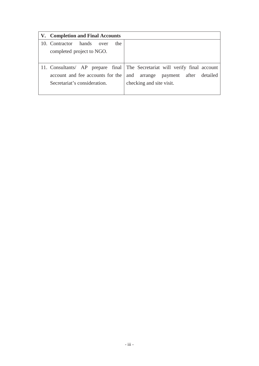| V. Completion and Final Accounts    |                                                                             |
|-------------------------------------|-----------------------------------------------------------------------------|
| 10. Contractor hands<br>the<br>over |                                                                             |
| completed project to NGO.           |                                                                             |
|                                     |                                                                             |
|                                     | 11. Consultants/ AP prepare final The Secretariat will verify final account |
| account and fee accounts for the    | arrange payment after detailed<br>and                                       |
| Secretariat's consideration.        | checking and site visit.                                                    |
|                                     |                                                                             |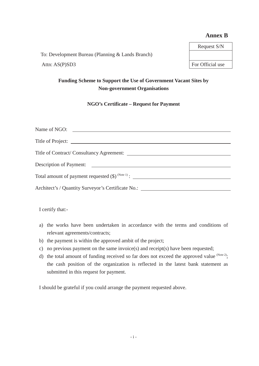#### **Annex B**

To: Development Bureau (Planning & Lands Branch) Attn: AS(P)SD3 For Official use

# Request S/N

## **Funding Scheme to Support the Use of Government Vacant Sites by Non-government Organisations**

**NGO's Certificate – Request for Payment**

| Total amount of payment requested $(\$)^{\text{(Note 1)}}$ :                     |  |
|----------------------------------------------------------------------------------|--|
|                                                                                  |  |
| Architect's / Quantity Surveyor's Certificate No.: _____________________________ |  |

I certify that:-

- a) the works have been undertaken in accordance with the terms and conditions of relevant agreements/contracts;
- b) the payment is within the approved ambit of the project;
- c) no previous payment on the same invoice(s) and receipt(s) have been requested;
- d) the total amount of funding received so far does not exceed the approved value  $^{(Note 2)}$ ; the cash position of the organization is reflected in the latest bank statement as submitted in this request for payment.

I should be grateful if you could arrange the payment requested above.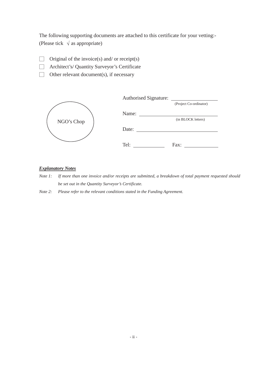The following supporting documents are attached to this certificate for your vetting:- (Please tick  $\sqrt{a}$  as appropriate)

- $\Box$  Original of the invoice(s) and/ or receipt(s)
- ˎ Architect's/ Quantity Surveyor's Certificate
- $\Box$  Other relevant document(s), if necessary

|            | <b>Authorised Signature:</b> |                        |
|------------|------------------------------|------------------------|
|            |                              | (Project Co-ordinator) |
|            | Name:                        |                        |
| NGO's Chop |                              | (in BLOCK letters)     |
|            | Date:                        |                        |
|            |                              |                        |
|            | Tel:                         | Fax:                   |

#### *Explanatory Notes*

- *Note 1: If more than one invoice and/or receipts are submitted, a breakdown of total payment requested should be set out in the Quantity Surveyor's Certificate.*
- *Note 2: Please refer to the relevant conditions stated in the Funding Agreement.*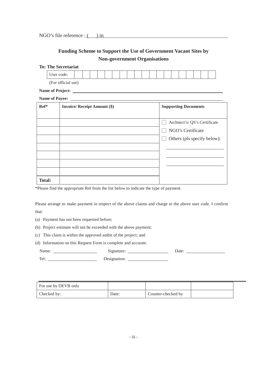# **Funding Scheme to Support the Use of Government Vacant Sites by Non-government Organisations**

| <b>To: The Secretariat</b> |                                     |  |  |                                                                                                                      |  |  |  |                             |  |  |  |  |                   |  |  |                              |  |  |  |  |  |
|----------------------------|-------------------------------------|--|--|----------------------------------------------------------------------------------------------------------------------|--|--|--|-----------------------------|--|--|--|--|-------------------|--|--|------------------------------|--|--|--|--|--|
| User code:                 |                                     |  |  |                                                                                                                      |  |  |  |                             |  |  |  |  |                   |  |  |                              |  |  |  |  |  |
|                            | (For official use)                  |  |  |                                                                                                                      |  |  |  |                             |  |  |  |  |                   |  |  |                              |  |  |  |  |  |
|                            |                                     |  |  |                                                                                                                      |  |  |  |                             |  |  |  |  |                   |  |  |                              |  |  |  |  |  |
| <b>Name of Payee:</b>      |                                     |  |  | <u> Alexandria de la contrada de la contrada de la contrada de la contrada de la contrada de la contrada de la c</u> |  |  |  |                             |  |  |  |  |                   |  |  |                              |  |  |  |  |  |
| $Ref*$                     | <b>Invoice/ Receipt Amount (\$)</b> |  |  |                                                                                                                      |  |  |  | <b>Supporting Documents</b> |  |  |  |  |                   |  |  |                              |  |  |  |  |  |
|                            |                                     |  |  |                                                                                                                      |  |  |  |                             |  |  |  |  |                   |  |  |                              |  |  |  |  |  |
|                            |                                     |  |  |                                                                                                                      |  |  |  |                             |  |  |  |  |                   |  |  | Architect's/QS's Certificate |  |  |  |  |  |
|                            |                                     |  |  |                                                                                                                      |  |  |  |                             |  |  |  |  | NGO's Certificate |  |  |                              |  |  |  |  |  |
|                            |                                     |  |  |                                                                                                                      |  |  |  |                             |  |  |  |  |                   |  |  | Others (pls specify below):  |  |  |  |  |  |
|                            |                                     |  |  |                                                                                                                      |  |  |  |                             |  |  |  |  |                   |  |  |                              |  |  |  |  |  |
|                            |                                     |  |  |                                                                                                                      |  |  |  |                             |  |  |  |  |                   |  |  |                              |  |  |  |  |  |
|                            |                                     |  |  |                                                                                                                      |  |  |  |                             |  |  |  |  |                   |  |  |                              |  |  |  |  |  |
|                            |                                     |  |  |                                                                                                                      |  |  |  |                             |  |  |  |  |                   |  |  |                              |  |  |  |  |  |
| <b>Total:</b>              |                                     |  |  |                                                                                                                      |  |  |  |                             |  |  |  |  |                   |  |  |                              |  |  |  |  |  |

\*Please find the appropriate Ref from the list below to indicate the type of payment.

Please arrange to make payment in respect of the above claims and charge to the above user code. I confirm that:

- (a) Payment has not been requested before;
- (b) Project estimate will not be exceeded with the above payment;
- (c) This claim is within the approved ambit of the project; and
- (d) Information on this Request Form is complete and accurate.

| Name: | r.<br>Signature: | Date |
|-------|------------------|------|
| Tel.  | Designation:     |      |

| For use by DEVB only |       |                    |  |
|----------------------|-------|--------------------|--|
| Checked by:          | Date: | Counter-checked by |  |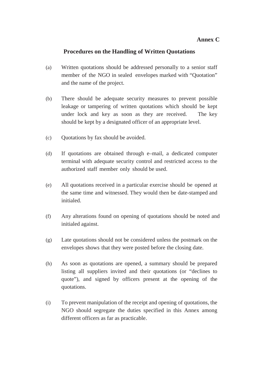### **Annex C**

### **Procedures on the Handling of Written Quotations**

- (a) Written quotations should be addressed personally to a senior staff member of the NGO in sealed envelopes marked with "Quotation" and the name of the project.
- (b) There should be adequate security measures to prevent possible leakage or tampering of written quotations which should be kept under lock and key as soon as they are received. The key should be kept by a designated officer of an appropriate level.
- (c) Quotations by fax should be avoided.
- (d) If quotations are obtained through e–mail, a dedicated computer terminal with adequate security control and restricted access to the authorized staff member only should be used.
- (e) All quotations received in a particular exercise should be opened at the same time and witnessed. They would then be date-stamped and initialed.
- (f) Any alterations found on opening of quotations should be noted and initialed against.
- (g) Late quotations should not be considered unless the postmark on the envelopes shows that they were posted before the closing date.
- (h) As soon as quotations are opened, a summary should be prepared listing all suppliers invited and their quotations (or "declines to quote"), and signed by officers present at the opening of the quotations.
- (i) To prevent manipulation of the receipt and opening of quotations, the NGO should segregate the duties specified in this Annex among different officers as far as practicable.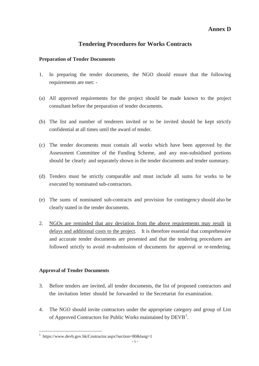#### **Annex D**

# **Tendering Procedures for Works Contracts**

#### **Preparation of Tender Documents**

- 1. In preparing the tender documents, the NGO should ensure that the following requirements are met: -
- (a) All approved requirements for the project should be made known to the project consultant before the preparation of tender documents.
- (b) The list and number of tenderers invited or to be invited should be kept strictly confidential at all times until the award of tender.
- (c) The tender documents must contain all works which have been approved by the Assessment Committee of the Funding Scheme, and any non-subsidised portions should be clearly and separately shown in the tender documents and tender summary.
- (d) Tenders must be strictly comparable and must include all sums for works to be executed by nominated sub-contractors.
- (e) The sums of nominated sub-contracts and provision for contingency should also be clearly stated in the tender documents.
- 2. NGOs are reminded that any deviation from the above requirements may result in delays and additional costs to the project. It is therefore essential that comprehensive and accurate tender documents are presented and that the tendering procedures are followed strictly to avoid re-submission of documents for approval or re-tendering.

#### **Approval of Tender Documents**

-

- 3. Before tenders are invited, all tender documents, the list of proposed contractors and the invitation letter should be forwarded to the Secretariat for examination.
- 4. The NGO should invite contractors under the appropriate category and group of List of Approved Contractors for Public Works maintained by  $DEVB<sup>1</sup>$ .

<sup>1</sup> https://www.devb.gov.hk/Contractor.aspx?section=80&lang=1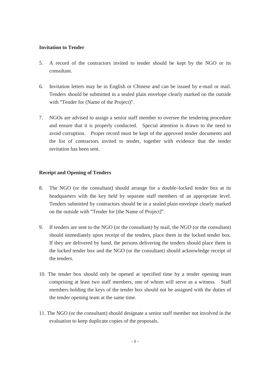#### **Invitation to Tender**

- 5. A record of the contractors invited to tender should be kept by the NGO or its consultant.
- 6. Invitation letters may be in English or Chinese and can be issued by e-mail or mail. Tenders should be submitted in a sealed plain envelope clearly marked on the outside with "Tender for (Name of the Project)".
- 7. NGOs are advised to assign a senior staff member to oversee the tendering procedure and ensure that it is properly conducted. Special attention is drawn to the need to avoid corruption. Proper record must be kept of the approved tender documents and the list of contractors invited to tender, together with evidence that the tender invitation has been sent.

#### **Receipt and Opening of Tenders**

- 8. The NGO (or the consultant) should arrange for a double–locked tender box at its headquarters with the key held by separate staff members of an appropriate level. Tenders submitted by contractors should be in a sealed plain envelope clearly marked on the outside with "Tender for [the Name of Project]".
- 9. If tenders are sent to the NGO (or the consultant) by mail, the NGO (or the consultant) should immediately upon receipt of the tenders, place them in the locked tender box. If they are delivered by hand, the persons delivering the tenders should place them in the locked tender box and the NGO (or the consultant) should acknowledge receipt of the tenders.
- 10. The tender box should only be opened at specified time by a tender opening team comprising at least two staff members, one of whom will serve as a witness. Staff members holding the keys of the tender box should not be assigned with the duties of the tender opening team at the same time.
- 11. The NGO (or the consultant) should designate a senior staff member not involved in the evaluation to keep duplicate copies of the proposals.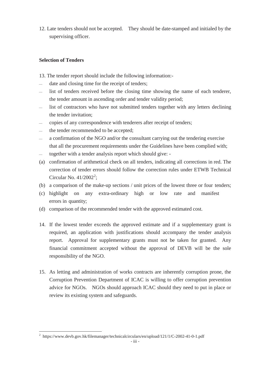12. Late tenders should not be accepted. They should be date-stamped and initialed by the supervising officer.

#### **Selection of Tenders**

-

- 13. The tender report should include the following information:-
- date and closing time for the receipt of tenders;
- list of tenders received before the closing time showing the name of each tenderer, the tender amount in ascending order and tender validity period;
- list of contractors who have not submitted tenders together with any letters declining the tender invitation;
- copies of any correspondence with tenderers after receipt of tenders;
- the tender recommended to be accepted;
- a confirmation of the NGO and/or the consultant carrying out the tendering exercise that all the procurement requirements under the Guidelines have been complied with;
- together with a tender analysis report which should give: -
- (a) confirmation of arithmetical check on all tenders, indicating all corrections in red. The correction of tender errors should follow the correction rules under ETWB Technical Circular No.  $41/2002^2$ ;
- (b) a comparison of the make-up sections / unit prices of the lowest three or four tenders;
- (c) highlight on any extra-ordinary high or low rate and manifest errors in quantity;
- (d) comparison of the recommended tender with the approved estimated cost.
- 14. If the lowest tender exceeds the approved estimate and if a supplementary grant is required, an application with justifications should accompany the tender analysis report. Approval for supplementary grants must not be taken for granted. Any financial commitment accepted without the approval of DEVB will be the sole responsibility of the NGO.
- 15. As letting and administration of works contracts are inherently corruption prone, the Corruption Prevention Department of ICAC is willing to offer corruption prevention advice for NGOs. NGOs should approach ICAC should they need to put in place or review its existing system and safeguards.

<sup>&</sup>lt;sup>2</sup> https://www.devb.gov.hk/filemanager/technicalcirculars/en/upload/121/1/C-2002-41-0-1.pdf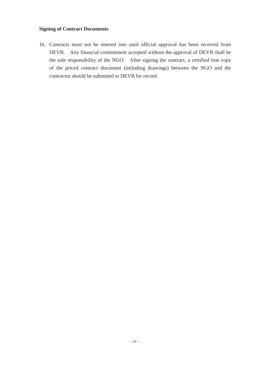#### **Signing of Contract Documents**

16. Contracts must not be entered into until official approval has been received from DEVB. Any financial commitment accepted without the approval of DEVB shall be the sole responsibility of the NGO. After signing the contract, a certified true copy of the priced contract document (including drawings) between the NGO and the contractor should be submitted to DEVB for record.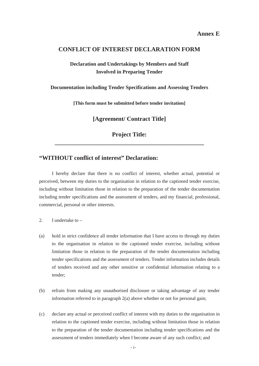#### **CONFLICT OF INTEREST DECLARATION FORM**

### **Declaration and Undertakings by Members and Staff Involved in Preparing Tender**

**Documentation including Tender Specifications and Assessing Tenders**

**[This form must be submitted before tender invitation]**

**[Agreement/ Contract Title]**

**Project Title: \_\_\_\_\_\_\_\_\_\_\_\_\_\_\_\_\_\_\_\_\_\_\_\_\_\_\_\_\_\_\_\_\_\_\_\_\_\_\_\_\_\_\_\_\_\_\_\_\_**

#### **"WITHOUT conflict of interest" Declaration:**

I hereby declare that there is no conflict of interest, whether actual, potential or perceived, between my duties to the organisation in relation to the captioned tender exercise, including without limitation those in relation to the preparation of the tender documentation including tender specifications and the assessment of tenders, and my financial, professional, commercial, personal or other interests.

- 2. I undertake to –
- (a) hold in strict confidence all tender information that I have access to through my duties to the organisation in relation to the captioned tender exercise, including without limitation those in relation to the preparation of the tender documentation including tender specifications and the assessment of tenders. Tender information includes details of tenders received and any other sensitive or confidential information relating to a tender;
- (b) refrain from making any unauthorised disclosure or taking advantage of any tender information referred to in paragraph 2(a) above whether or not for personal gain;
- (c) declare any actual or perceived conflict of interest with my duties to the organisation in relation to the captioned tender exercise, including without limitation those in relation to the preparation of the tender documentation including tender specifications and the assessment of tenders immediately when I become aware of any such conflict; and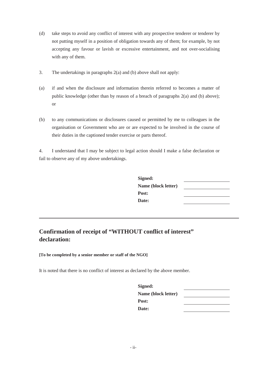- (d) take steps to avoid any conflict of interest with any prospective tenderer or tenderer by not putting myself in a position of obligation towards any of them; for example, by not accepting any favour or lavish or excessive entertainment, and not over-socialising with any of them.
- 3. The undertakings in paragraphs 2(a) and (b) above shall not apply:
- (a) if and when the disclosure and information therein referred to becomes a matter of public knowledge (other than by reason of a breach of paragraphs 2(a) and (b) above); or
- (b) to any communications or disclosures caused or permitted by me to colleagues in the organisation or Government who are or are expected to be involved in the course of their duties in the captioned tender exercise or parts thereof.

4. I understand that I may be subject to legal action should I make a false declaration or fail to observe any of my above undertakings.

| Signed:             |  |
|---------------------|--|
| Name (block letter) |  |
| Post:               |  |
| Date:               |  |

# **Confirmation of receipt of "WITHOUT conflict of interest" declaration:**

#### **[To be completed by a senior member or staff of the NGO]**

It is noted that there is no conflict of interest as declared by the above member.

| Signed:             |  |
|---------------------|--|
| Name (block letter) |  |
| Post:               |  |
| Date:               |  |
|                     |  |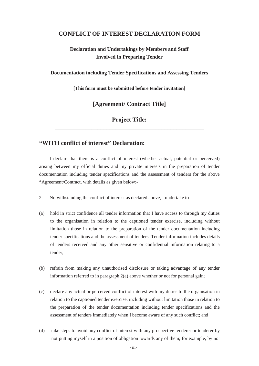#### **CONFLICT OF INTEREST DECLARATION FORM**

### **Declaration and Undertakings by Members and Staff Involved in Preparing Tender**

**Documentation including Tender Specifications and Assessing Tenders**

**[This form must be submitted before tender invitation]**

**[Agreement/ Contract Title]**

# **Project Title: \_\_\_\_\_\_\_\_\_\_\_\_\_\_\_\_\_\_\_\_\_\_\_\_\_\_\_\_\_\_\_\_\_\_\_\_\_\_\_\_\_\_\_\_\_\_\_\_\_**

# **"WITH conflict of interest" Declaration:**

I declare that there is a conflict of interest (whether actual, potential or perceived) arising between my official duties and my private interests in the preparation of tender documentation including tender specifications and the assessment of tenders for the above \*Agreement/Contract, with details as given below:-

- 2. Notwithstanding the conflict of interest as declared above, I undertake to –
- (a) hold in strict confidence all tender information that I have access to through my duties to the organisation in relation to the captioned tender exercise, including without limitation those in relation to the preparation of the tender documentation including tender specifications and the assessment of tenders. Tender information includes details of tenders received and any other sensitive or confidential information relating to a tender;
- (b) refrain from making any unauthorised disclosure or taking advantage of any tender information referred to in paragraph 2(a) above whether or not for personal gain;
- (c) declare any actual or perceived conflict of interest with my duties to the organisation in relation to the captioned tender exercise, including without limitation those in relation to the preparation of the tender documentation including tender specifications and the assessment of tenders immediately when I become aware of any such conflict; and
- (d) take steps to avoid any conflict of interest with any prospective tenderer or tenderer by not putting myself in a position of obligation towards any of them; for example, by not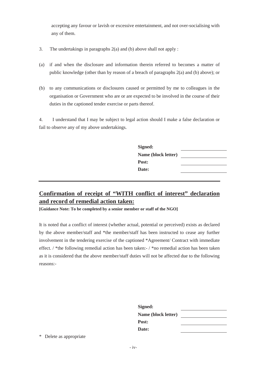accepting any favour or lavish or excessive entertainment, and not over-socialising with any of them.

- 3. The undertakings in paragraphs 2(a) and (b) above shall not apply :
- (a) if and when the disclosure and information therein referred to becomes a matter of public knowledge (other than by reason of a breach of paragraphs 2(a) and (b) above); or
- (b) to any communications or disclosures caused or permitted by me to colleagues in the organisation or Government who are or are expected to be involved in the course of their duties in the captioned tender exercise or parts thereof.

4. I understand that I may be subject to legal action should I make a false declaration or fail to observe any of my above undertakings.

| Signed:             |  |
|---------------------|--|
| Name (block letter) |  |
| Post:               |  |
| Date:               |  |
|                     |  |

# **Confirmation of receipt of "WITH conflict of interest" declaration and record of remedial action taken:**

**[Guidance Note: To be completed by a senior member or staff of the NGO]**

It is noted that a conflict of interest (whether actual, potential or perceived) exists as declared by the above member/staff and \*the member/staff has been instructed to cease any further involvement in the tendering exercise of the captioned \*Agreement/ Contract with immediate effect. / \*the following remedial action has been taken:- / \*no remedial action has been taken as it is considered that the above member/staff duties will not be affected due to the following reasons:-

| Signed:             |  |
|---------------------|--|
| Name (block letter) |  |
| Post:               |  |
| Date:               |  |

\* Delete as appropriate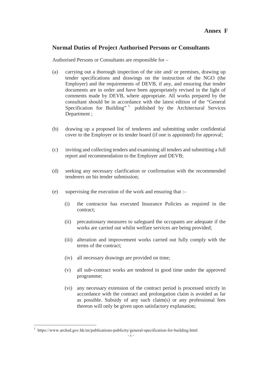#### **Annex F**

#### **Normal Duties of Project Authorised Persons or Consultants**

Authorised Persons or Consultants are responsible for –

- (a) carrying out a thorough inspection of the site and/ or premises, drawing up tender specifications and drawings on the instruction of the NGO (the Employer) and the requirements of DEVB, if any, and ensuring that tender documents are in order and have been appropriately revised in the light of comments made by DEVB, where appropriate. All works prepared by the consultant should be in accordance with the latest edition of the "General Specification for Building"  $\frac{1}{2}$  published by the Architectural Services Department ;
- (b) drawing up a proposed list of tenderers and submitting under confidential cover to the Employer or its tender board (if one is appointed) for approval;
- (c) inviting and collecting tenders and examining all tenders and submitting a full report and recommendation to the Employer and DEVB;
- (d) seeking any necessary clarification or confirmation with the recommended tenderers on his tender submission;
- (e) supervising the execution of the work and ensuring that :–
	- (i) the contractor has executed Insurance Policies as required in the contract;
	- (ii) precautionary measures to safeguard the occupants are adequate if the works are carried out whilst welfare services are being provided;
	- (iii) alteration and improvement works carried out fully comply with the terms of the contract;
	- (iv) all necessary drawings are provided on time;
	- (v) all sub–contract works are tendered in good time under the approved programme;
	- (vi) any necessary extension of the contract period is processed strictly in accordance with the contract and prolongation claim is avoided as far as possible. Subsidy of any such claim(s) or any professional fees thereon will only be given upon satisfactory explanation;

<sup>1</sup> https://www.archsd.gov.hk/en/publications-publicity/general-specification-for-building.html